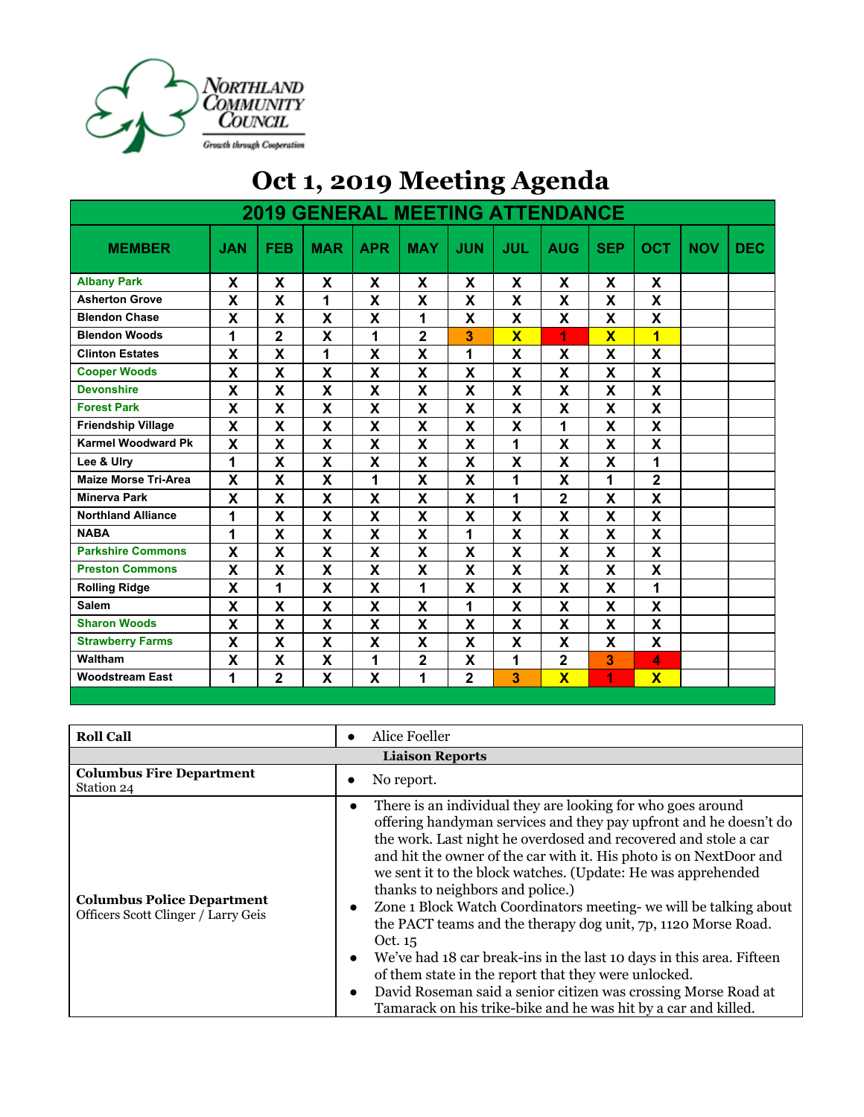

|                             |            |                |                                        |                           |                |                | ֊                       |                         |                           |                           |            |            |
|-----------------------------|------------|----------------|----------------------------------------|---------------------------|----------------|----------------|-------------------------|-------------------------|---------------------------|---------------------------|------------|------------|
|                             |            |                | <b>2019 GENERAL MEETING ATTENDANCE</b> |                           |                |                |                         |                         |                           |                           |            |            |
| <b>MEMBER</b>               | <b>JAN</b> | <b>FEB</b>     | <b>MAR</b>                             | <b>APR</b>                | <b>MAY</b>     | <b>JUN</b>     | <b>JUL</b>              | <b>AUG</b>              | <b>SEP</b>                | <b>OCT</b>                | <b>NOV</b> | <b>DEC</b> |
| <b>Albany Park</b>          | X          | X              | X                                      | X                         | X              | X              | X                       | X                       | X                         | X                         |            |            |
| <b>Asherton Grove</b>       | X          | X              | 1                                      | X                         | X              | X              | X                       | X                       | $\boldsymbol{\mathsf{X}}$ | X                         |            |            |
| <b>Blendon Chase</b>        | X          | X              | X                                      | X                         | 1              | X              | $\overline{\mathbf{X}}$ | X                       | $\mathbf x$               | X                         |            |            |
| <b>Blendon Woods</b>        | 1          | $\overline{2}$ | X                                      | 1                         | $\overline{2}$ | 3              | $\overline{\mathbf{x}}$ | 1                       | $\overline{\mathbf{x}}$   | $\overline{\mathbf{1}}$   |            |            |
| <b>Clinton Estates</b>      | X          | X              | 1                                      | X                         | X              | 1              | X                       | X                       | X                         | X                         |            |            |
| <b>Cooper Woods</b>         | X          | X              | X                                      | X                         | X              | X              | X                       | X                       | X                         | X                         |            |            |
| <b>Devonshire</b>           | X          | X              | X                                      | $\boldsymbol{\mathsf{X}}$ | X              | X              | X                       | X                       | X                         | X                         |            |            |
| <b>Forest Park</b>          | X          | X              | X                                      | $\boldsymbol{\mathsf{X}}$ | X              | X              | X                       | X                       | X                         | X                         |            |            |
| <b>Friendship Village</b>   | X          | X              | X                                      | X                         | X              | X              | X                       | 1                       | X                         | X                         |            |            |
| <b>Karmel Woodward Pk</b>   | X          | X              | X                                      | $\boldsymbol{\mathsf{X}}$ | X              | X              | 1                       | X                       | X                         | X                         |            |            |
| Lee & Ulry                  | 1          | X              | $\boldsymbol{\mathsf{X}}$              | $\boldsymbol{\mathsf{X}}$ | X              | X              | X                       | X                       | X                         | 1                         |            |            |
| <b>Maize Morse Tri-Area</b> | X          | X              | $\boldsymbol{\mathsf{X}}$              | 1                         | X              | X              | 1                       | X                       | 1                         | $\mathbf 2$               |            |            |
| <b>Minerva Park</b>         | X          | X              | X                                      | X                         | X              | X              | 1                       | $\mathbf 2$             | X                         | X                         |            |            |
| <b>Northland Alliance</b>   | 1          | X              | X                                      | X                         | X              | X              | X                       | X                       | X                         | X                         |            |            |
| <b>NABA</b>                 | 1          | X              | $\boldsymbol{\mathsf{X}}$              | $\boldsymbol{\mathsf{X}}$ | X              | 1              | X                       | X                       | $\boldsymbol{\mathsf{X}}$ | X                         |            |            |
| <b>Parkshire Commons</b>    | X          | X              | $\boldsymbol{\mathsf{X}}$              | $\boldsymbol{\mathsf{X}}$ | X              | X              | X                       | X                       | $\overline{\mathsf{X}}$   | X                         |            |            |
| <b>Preston Commons</b>      | X          | X              | X                                      | X                         | X              | X              | X                       | X                       | X                         | $\boldsymbol{\mathsf{X}}$ |            |            |
| <b>Rolling Ridge</b>        | X          | 1              | X                                      | X                         | 1              | X              | X                       | X                       | X                         | 1                         |            |            |
| <b>Salem</b>                | X          | X              | X                                      | X                         | X              | 1              | X                       | X                       | X                         | X                         |            |            |
| <b>Sharon Woods</b>         | X          | X              | X                                      | X                         | X              | X              | X                       | X                       | X                         | X                         |            |            |
| <b>Strawberry Farms</b>     | X          | X              | X                                      | X                         | X              | X              | X                       | X                       | X                         | X                         |            |            |
| Waltham                     | X          | X              | X                                      | 1                         | $\overline{2}$ | X              | 1                       | $\mathbf 2$             | 3                         | 4                         |            |            |
| <b>Woodstream East</b>      | 1          | $\overline{2}$ | X                                      | X                         | 1              | $\overline{2}$ | 3                       | $\overline{\mathsf{x}}$ | 1                         | $\overline{\mathbf{X}}$   |            |            |

| Oct 1, 2019 Meeting Agenda |  |  |  |  |
|----------------------------|--|--|--|--|
|----------------------------|--|--|--|--|

| <b>Roll Call</b>                                                         | Alice Foeller                                                                                                                                                                                                                                                                                                                                                                                                                                                                                                                                                                                                                                                                                                                                                                                      |  |  |  |
|--------------------------------------------------------------------------|----------------------------------------------------------------------------------------------------------------------------------------------------------------------------------------------------------------------------------------------------------------------------------------------------------------------------------------------------------------------------------------------------------------------------------------------------------------------------------------------------------------------------------------------------------------------------------------------------------------------------------------------------------------------------------------------------------------------------------------------------------------------------------------------------|--|--|--|
| <b>Liaison Reports</b>                                                   |                                                                                                                                                                                                                                                                                                                                                                                                                                                                                                                                                                                                                                                                                                                                                                                                    |  |  |  |
| <b>Columbus Fire Department</b><br>Station 24                            | No report.                                                                                                                                                                                                                                                                                                                                                                                                                                                                                                                                                                                                                                                                                                                                                                                         |  |  |  |
| <b>Columbus Police Department</b><br>Officers Scott Clinger / Larry Geis | There is an individual they are looking for who goes around<br>offering handyman services and they pay upfront and he doesn't do<br>the work. Last night he overdosed and recovered and stole a car<br>and hit the owner of the car with it. His photo is on NextDoor and<br>we sent it to the block watches. (Update: He was apprehended<br>thanks to neighbors and police.)<br>Zone 1 Block Watch Coordinators meeting- we will be talking about<br>the PACT teams and the therapy dog unit, 7p, 1120 Morse Road.<br>Oct. 15<br>We've had 18 car break-ins in the last 10 days in this area. Fifteen<br>of them state in the report that they were unlocked.<br>David Roseman said a senior citizen was crossing Morse Road at<br>Tamarack on his trike-bike and he was hit by a car and killed. |  |  |  |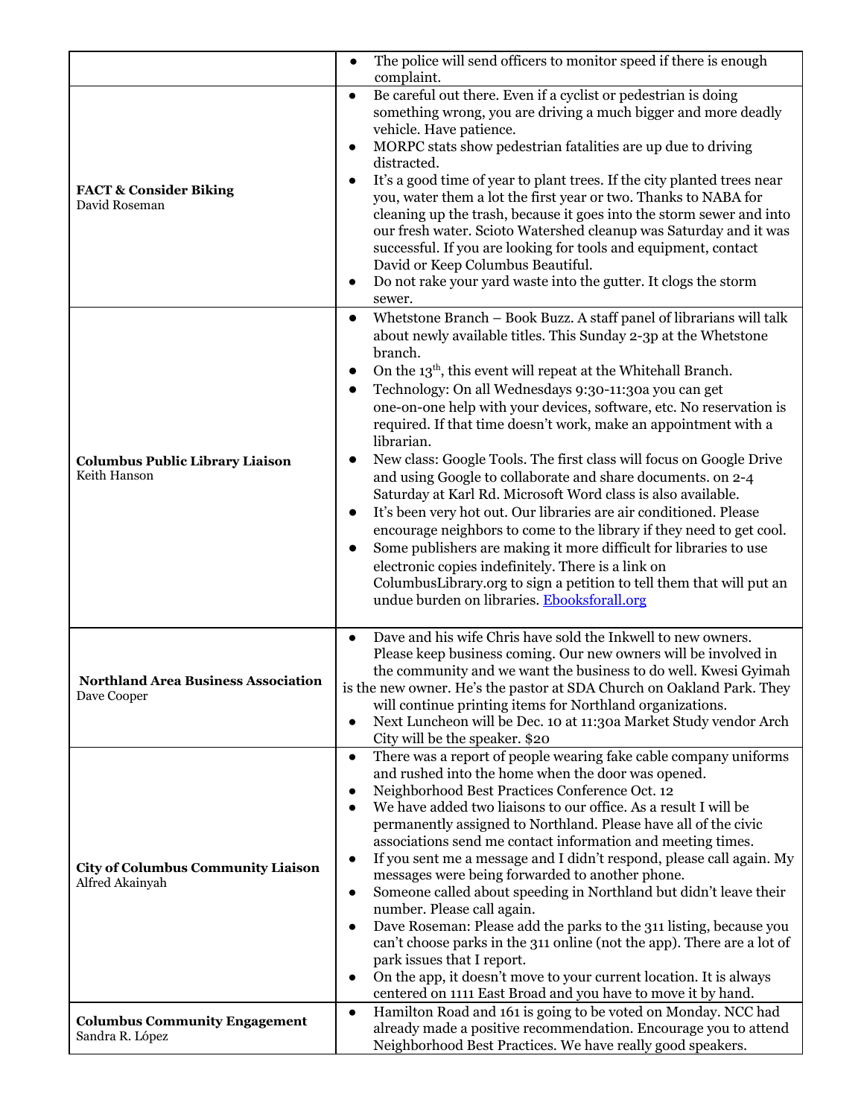|                                                              | The police will send officers to monitor speed if there is enough<br>$\bullet$                                                                                                                                                                                                                                                                                                                                                                                                                                                                                                                                                                                                                                                                                                                                                                                                                                                                                                                                                    |
|--------------------------------------------------------------|-----------------------------------------------------------------------------------------------------------------------------------------------------------------------------------------------------------------------------------------------------------------------------------------------------------------------------------------------------------------------------------------------------------------------------------------------------------------------------------------------------------------------------------------------------------------------------------------------------------------------------------------------------------------------------------------------------------------------------------------------------------------------------------------------------------------------------------------------------------------------------------------------------------------------------------------------------------------------------------------------------------------------------------|
| <b>FACT &amp; Consider Biking</b><br>David Roseman           | complaint.<br>Be careful out there. Even if a cyclist or pedestrian is doing<br>$\bullet$<br>something wrong, you are driving a much bigger and more deadly<br>vehicle. Have patience.<br>MORPC stats show pedestrian fatalities are up due to driving<br>$\bullet$<br>distracted.<br>It's a good time of year to plant trees. If the city planted trees near<br>$\bullet$<br>you, water them a lot the first year or two. Thanks to NABA for<br>cleaning up the trash, because it goes into the storm sewer and into<br>our fresh water. Scioto Watershed cleanup was Saturday and it was<br>successful. If you are looking for tools and equipment, contact<br>David or Keep Columbus Beautiful.<br>Do not rake your yard waste into the gutter. It clogs the storm<br>$\bullet$<br>sewer.<br>Whetstone Branch - Book Buzz. A staff panel of librarians will talk<br>$\bullet$                                                                                                                                                  |
| <b>Columbus Public Library Liaison</b><br>Keith Hanson       | about newly available titles. This Sunday 2-3p at the Whetstone<br>branch.<br>On the 13 <sup>th</sup> , this event will repeat at the Whitehall Branch.<br>$\bullet$<br>Technology: On all Wednesdays 9:30-11:30a you can get<br>$\bullet$<br>one-on-one help with your devices, software, etc. No reservation is<br>required. If that time doesn't work, make an appointment with a<br>librarian.<br>New class: Google Tools. The first class will focus on Google Drive<br>and using Google to collaborate and share documents. on 2-4<br>Saturday at Karl Rd. Microsoft Word class is also available.<br>It's been very hot out. Our libraries are air conditioned. Please<br>$\bullet$<br>encourage neighbors to come to the library if they need to get cool.<br>Some publishers are making it more difficult for libraries to use<br>$\bullet$<br>electronic copies indefinitely. There is a link on<br>ColumbusLibrary.org to sign a petition to tell them that will put an<br>undue burden on libraries. Ebooksforall.org |
| <b>Northland Area Business Association</b><br>Dave Cooper    | Dave and his wife Chris have sold the Inkwell to new owners.<br>$\bullet$<br>Please keep business coming. Our new owners will be involved in<br>the community and we want the business to do well. Kwesi Gyimah<br>is the new owner. He's the pastor at SDA Church on Oakland Park. They<br>will continue printing items for Northland organizations.<br>Next Luncheon will be Dec. 10 at 11:30a Market Study vendor Arch<br>$\bullet$<br>City will be the speaker. \$20                                                                                                                                                                                                                                                                                                                                                                                                                                                                                                                                                          |
| <b>City of Columbus Community Liaison</b><br>Alfred Akainyah | There was a report of people wearing fake cable company uniforms<br>$\bullet$<br>and rushed into the home when the door was opened.<br>Neighborhood Best Practices Conference Oct. 12<br>$\bullet$<br>We have added two liaisons to our office. As a result I will be<br>permanently assigned to Northland. Please have all of the civic<br>associations send me contact information and meeting times.<br>If you sent me a message and I didn't respond, please call again. My<br>$\bullet$<br>messages were being forwarded to another phone.<br>Someone called about speeding in Northland but didn't leave their<br>$\bullet$<br>number. Please call again.<br>Dave Roseman: Please add the parks to the 311 listing, because you<br>$\bullet$<br>can't choose parks in the 311 online (not the app). There are a lot of<br>park issues that I report.<br>On the app, it doesn't move to your current location. It is always<br>$\bullet$<br>centered on 1111 East Broad and you have to move it by hand.                     |
| <b>Columbus Community Engagement</b><br>Sandra R. López      | Hamilton Road and 161 is going to be voted on Monday. NCC had<br>$\bullet$<br>already made a positive recommendation. Encourage you to attend<br>Neighborhood Best Practices. We have really good speakers.                                                                                                                                                                                                                                                                                                                                                                                                                                                                                                                                                                                                                                                                                                                                                                                                                       |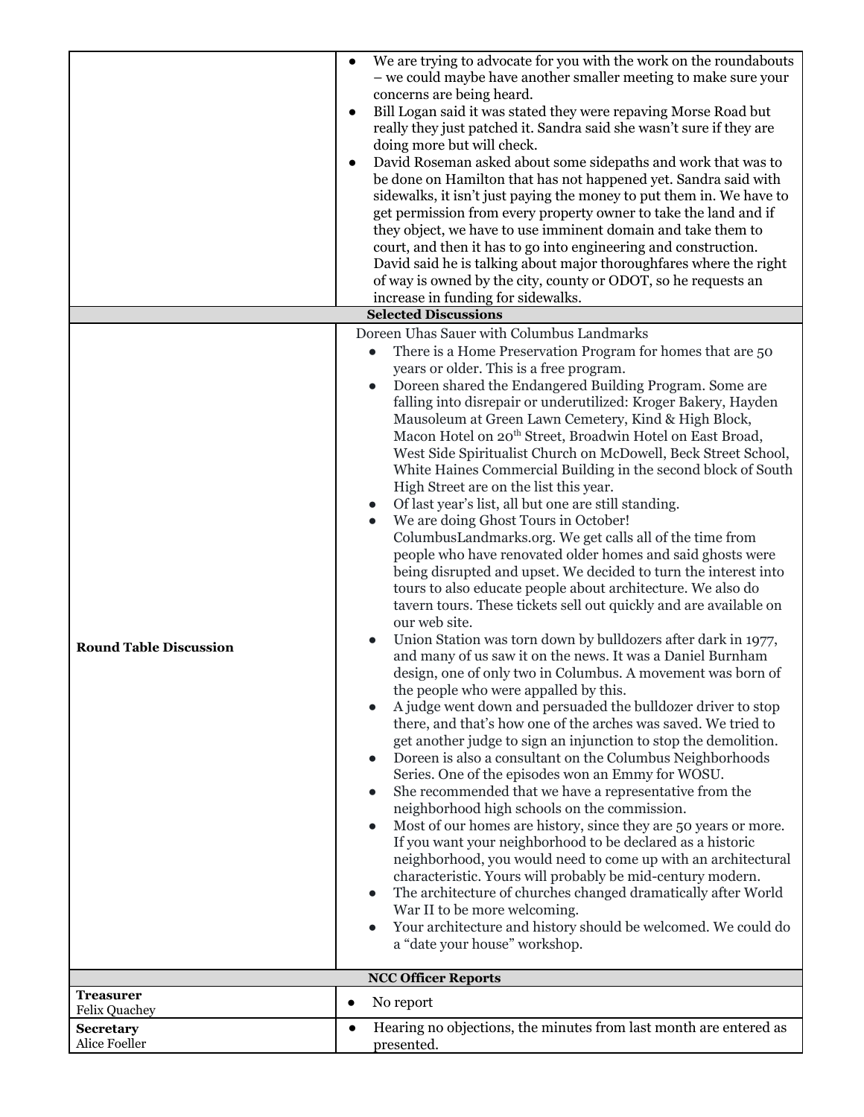|                                   | We are trying to advocate for you with the work on the roundabouts                                                                          |
|-----------------------------------|---------------------------------------------------------------------------------------------------------------------------------------------|
|                                   | - we could maybe have another smaller meeting to make sure your                                                                             |
|                                   | concerns are being heard.                                                                                                                   |
|                                   | Bill Logan said it was stated they were repaving Morse Road but                                                                             |
|                                   | really they just patched it. Sandra said she wasn't sure if they are                                                                        |
|                                   | doing more but will check.                                                                                                                  |
|                                   | David Roseman asked about some sidepaths and work that was to                                                                               |
|                                   | be done on Hamilton that has not happened yet. Sandra said with                                                                             |
|                                   | sidewalks, it isn't just paying the money to put them in. We have to                                                                        |
|                                   | get permission from every property owner to take the land and if                                                                            |
|                                   | they object, we have to use imminent domain and take them to                                                                                |
|                                   | court, and then it has to go into engineering and construction.                                                                             |
|                                   | David said he is talking about major thoroughfares where the right                                                                          |
|                                   | of way is owned by the city, county or ODOT, so he requests an                                                                              |
|                                   | increase in funding for sidewalks.                                                                                                          |
|                                   | <b>Selected Discussions</b>                                                                                                                 |
|                                   | Doreen Uhas Sauer with Columbus Landmarks                                                                                                   |
|                                   | There is a Home Preservation Program for homes that are 50<br>$\bullet$                                                                     |
|                                   | years or older. This is a free program.                                                                                                     |
|                                   | Doreen shared the Endangered Building Program. Some are<br>$\bullet$                                                                        |
|                                   | falling into disrepair or underutilized: Kroger Bakery, Hayden                                                                              |
|                                   | Mausoleum at Green Lawn Cemetery, Kind & High Block,                                                                                        |
|                                   | Macon Hotel on 20 <sup>th</sup> Street, Broadwin Hotel on East Broad,                                                                       |
|                                   | West Side Spiritualist Church on McDowell, Beck Street School,                                                                              |
|                                   | White Haines Commercial Building in the second block of South                                                                               |
|                                   | High Street are on the list this year.                                                                                                      |
|                                   | Of last year's list, all but one are still standing.<br>$\bullet$                                                                           |
|                                   | We are doing Ghost Tours in October!<br>$\bullet$                                                                                           |
|                                   | ColumbusLandmarks.org. We get calls all of the time from                                                                                    |
|                                   | people who have renovated older homes and said ghosts were                                                                                  |
|                                   | being disrupted and upset. We decided to turn the interest into                                                                             |
|                                   | tours to also educate people about architecture. We also do                                                                                 |
|                                   | tavern tours. These tickets sell out quickly and are available on                                                                           |
|                                   | our web site.                                                                                                                               |
| <b>Round Table Discussion</b>     | Union Station was torn down by bulldozers after dark in 1977,<br>$\bullet$                                                                  |
|                                   | and many of us saw it on the news. It was a Daniel Burnham                                                                                  |
|                                   | design, one of only two in Columbus. A movement was born of                                                                                 |
|                                   | the people who were appalled by this.                                                                                                       |
|                                   | A judge went down and persuaded the bulldozer driver to stop<br>$\bullet$<br>there, and that's how one of the arches was saved. We tried to |
|                                   | get another judge to sign an injunction to stop the demolition.                                                                             |
|                                   | Doreen is also a consultant on the Columbus Neighborhoods<br>$\bullet$                                                                      |
|                                   | Series. One of the episodes won an Emmy for WOSU.                                                                                           |
|                                   | She recommended that we have a representative from the<br>$\bullet$                                                                         |
|                                   | neighborhood high schools on the commission.                                                                                                |
|                                   | Most of our homes are history, since they are 50 years or more.<br>$\bullet$                                                                |
|                                   | If you want your neighborhood to be declared as a historic                                                                                  |
|                                   | neighborhood, you would need to come up with an architectural                                                                               |
|                                   | characteristic. Yours will probably be mid-century modern.                                                                                  |
|                                   | The architecture of churches changed dramatically after World<br>$\bullet$                                                                  |
|                                   | War II to be more welcoming.                                                                                                                |
|                                   | Your architecture and history should be welcomed. We could do<br>$\bullet$                                                                  |
|                                   | a "date your house" workshop.                                                                                                               |
|                                   |                                                                                                                                             |
|                                   | <b>NCC Officer Reports</b>                                                                                                                  |
| <b>Treasurer</b>                  | No report<br>$\bullet$                                                                                                                      |
| <b>Felix Quachey</b>              | Hearing no objections, the minutes from last month are entered as<br>$\bullet$                                                              |
| <b>Secretary</b><br>Alice Foeller | presented.                                                                                                                                  |